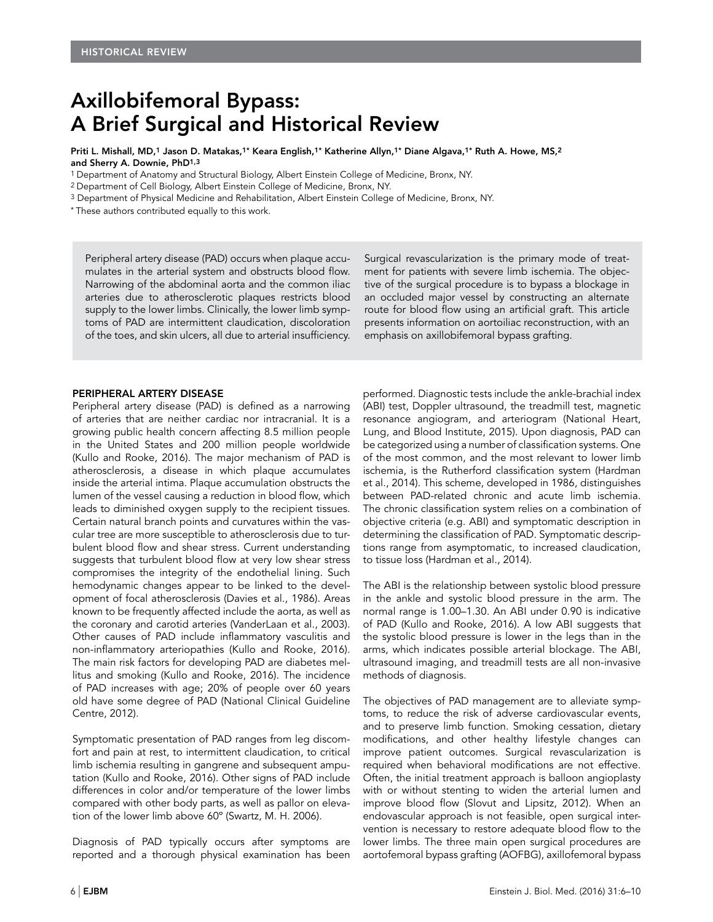# Axillobifemoral Bypass: A Brief Surgical and Historical Review

Priti L. Mishall, MD,1 Jason D. Matakas,1\* Keara English,1\* Katherine Allyn,1\* Diane Algava,1\* Ruth A. Howe, MS,2 and Sherry A. Downie, PhD1,3

1 Department of Anatomy and Structural Biology, Albert Einstein College of Medicine, Bronx, NY.

2 Department of Cell Biology, Albert Einstein College of Medicine, Bronx, NY.

3 Department of Physical Medicine and Rehabilitation, Albert Einstein College of Medicine, Bronx, NY.

\* These authors contributed equally to this work.

Peripheral artery disease (PAD) occurs when plaque accumulates in the arterial system and obstructs blood flow. Narrowing of the abdominal aorta and the common iliac arteries due to atherosclerotic plaques restricts blood supply to the lower limbs. Clinically, the lower limb symptoms of PAD are intermittent claudication, discoloration of the toes, and skin ulcers, all due to arterial insufficiency. Surgical revascularization is the primary mode of treatment for patients with severe limb ischemia. The objective of the surgical procedure is to bypass a blockage in an occluded major vessel by constructing an alternate route for blood flow using an artificial graft. This article presents information on aortoiliac reconstruction, with an emphasis on axillobifemoral bypass grafting.

#### PERIPHERAL ARTERY DISEASE

Peripheral artery disease (PAD) is defined as a narrowing of arteries that are neither cardiac nor intracranial. It is a growing public health concern affecting 8.5 million people in the United States and 200 million people worldwide (Kullo and Rooke, 2016). The major mechanism of PAD is atherosclerosis, a disease in which plaque accumulates inside the arterial intima. Plaque accumulation obstructs the lumen of the vessel causing a reduction in blood flow, which leads to diminished oxygen supply to the recipient tissues. Certain natural branch points and curvatures within the vascular tree are more susceptible to atherosclerosis due to turbulent blood flow and shear stress. Current understanding suggests that turbulent blood flow at very low shear stress compromises the integrity of the endothelial lining. Such hemodynamic changes appear to be linked to the development of focal atherosclerosis (Davies et al., 1986). Areas known to be frequently affected include the aorta, as well as the coronary and carotid arteries (VanderLaan et al., 2003). Other causes of PAD include inflammatory vasculitis and non-inflammatory arteriopathies (Kullo and Rooke, 2016). The main risk factors for developing PAD are diabetes mellitus and smoking (Kullo and Rooke, 2016). The incidence of PAD increases with age; 20% of people over 60 years old have some degree of PAD (National Clinical Guideline Centre, 2012).

Symptomatic presentation of PAD ranges from leg discomfort and pain at rest, to intermittent claudication, to critical limb ischemia resulting in gangrene and subsequent amputation (Kullo and Rooke, 2016). Other signs of PAD include differences in color and/or temperature of the lower limbs compared with other body parts, as well as pallor on elevation of the lower limb above 60º (Swartz, M. H. 2006).

Diagnosis of PAD typically occurs after symptoms are reported and a thorough physical examination has been

performed. Diagnostic tests include the ankle-brachial index (ABI) test, Doppler ultrasound, the treadmill test, magnetic resonance angiogram, and arteriogram (National Heart, Lung, and Blood Institute, 2015). Upon diagnosis, PAD can be categorized using a number of classification systems. One of the most common, and the most relevant to lower limb ischemia, is the Rutherford classification system (Hardman et al., 2014). This scheme, developed in 1986, distinguishes between PAD-related chronic and acute limb ischemia. The chronic classification system relies on a combination of objective criteria (e.g. ABI) and symptomatic description in determining the classification of PAD. Symptomatic descriptions range from asymptomatic, to increased claudication, to tissue loss (Hardman et al., 2014).

The ABI is the relationship between systolic blood pressure in the ankle and systolic blood pressure in the arm. The normal range is 1.00–1.30. An ABI under 0.90 is indicative of PAD (Kullo and Rooke, 2016). A low ABI suggests that the systolic blood pressure is lower in the legs than in the arms, which indicates possible arterial blockage. The ABI, ultrasound imaging, and treadmill tests are all non-invasive methods of diagnosis.

The objectives of PAD management are to alleviate symptoms, to reduce the risk of adverse cardiovascular events, and to preserve limb function. Smoking cessation, dietary modifications, and other healthy lifestyle changes can improve patient outcomes. Surgical revascularization is required when behavioral modifications are not effective. Often, the initial treatment approach is balloon angioplasty with or without stenting to widen the arterial lumen and improve blood flow (Slovut and Lipsitz, 2012). When an endovascular approach is not feasible, open surgical intervention is necessary to restore adequate blood flow to the lower limbs. The three main open surgical procedures are aortofemoral bypass grafting (AOFBG), axillofemoral bypass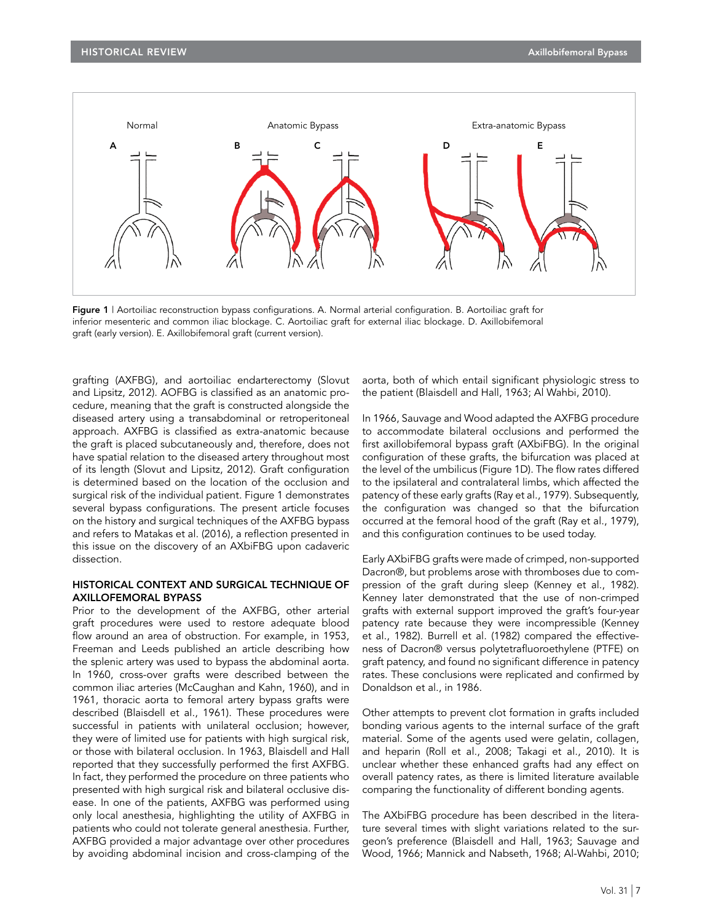

Figure 1 | Aortoiliac reconstruction bypass configurations. A. Normal arterial configuration. B. Aortoiliac graft for inferior mesenteric and common iliac blockage. C. Aortoiliac graft for external iliac blockage. D. Axillobifemoral graft (early version). E. Axillobifemoral graft (current version).

grafting (AXFBG), and aortoiliac endarterectomy (Slovut and Lipsitz, 2012). AOFBG is classified as an anatomic procedure, meaning that the graft is constructed alongside the diseased artery using a transabdominal or retroperitoneal approach. AXFBG is classified as extra-anatomic because the graft is placed subcutaneously and, therefore, does not have spatial relation to the diseased artery throughout most of its length (Slovut and Lipsitz, 2012). Graft configuration is determined based on the location of the occlusion and surgical risk of the individual patient. Figure 1 demonstrates several bypass configurations. The present article focuses on the history and surgical techniques of the AXFBG bypass and refers to Matakas et al. (2016), a reflection presented in this issue on the discovery of an AXbiFBG upon cadaveric dissection.

## HISTORICAL CONTEXT AND SURGICAL TECHNIQUE OF AXILLOFEMORAL BYPASS

Prior to the development of the AXFBG, other arterial graft procedures were used to restore adequate blood flow around an area of obstruction. For example, in 1953, Freeman and Leeds published an article describing how the splenic artery was used to bypass the abdominal aorta. In 1960, cross-over grafts were described between the common iliac arteries (McCaughan and Kahn, 1960), and in 1961, thoracic aorta to femoral artery bypass grafts were described (Blaisdell et al., 1961). These procedures were successful in patients with unilateral occlusion; however, they were of limited use for patients with high surgical risk, or those with bilateral occlusion. In 1963, Blaisdell and Hall reported that they successfully performed the first AXFBG. In fact, they performed the procedure on three patients who presented with high surgical risk and bilateral occlusive disease. In one of the patients, AXFBG was performed using only local anesthesia, highlighting the utility of AXFBG in patients who could not tolerate general anesthesia. Further, AXFBG provided a major advantage over other procedures by avoiding abdominal incision and cross-clamping of the

aorta, both of which entail significant physiologic stress to the patient (Blaisdell and Hall, 1963; Al Wahbi, 2010).

In 1966, Sauvage and Wood adapted the AXFBG procedure to accommodate bilateral occlusions and performed the first axillobifemoral bypass graft (AXbiFBG). In the original configuration of these grafts, the bifurcation was placed at the level of the umbilicus (Figure 1D). The flow rates differed to the ipsilateral and contralateral limbs, which affected the patency of these early grafts (Ray et al., 1979). Subsequently, the configuration was changed so that the bifurcation occurred at the femoral hood of the graft (Ray et al., 1979), and this configuration continues to be used today.

Early AXbiFBG grafts were made of crimped, non-supported Dacron®, but problems arose with thromboses due to compression of the graft during sleep (Kenney et al., 1982). Kenney later demonstrated that the use of non-crimped grafts with external support improved the graft's four-year patency rate because they were incompressible (Kenney et al., 1982). Burrell et al. (1982) compared the effectiveness of Dacron® versus polytetrafluoroethylene (PTFE) on graft patency, and found no significant difference in patency rates. These conclusions were replicated and confirmed by Donaldson et al., in 1986.

Other attempts to prevent clot formation in grafts included bonding various agents to the internal surface of the graft material. Some of the agents used were gelatin, collagen, and heparin (Roll et al., 2008; Takagi et al., 2010). It is unclear whether these enhanced grafts had any effect on overall patency rates, as there is limited literature available comparing the functionality of different bonding agents.

The AXbiFBG procedure has been described in the literature several times with slight variations related to the surgeon's preference (Blaisdell and Hall, 1963; Sauvage and Wood, 1966; Mannick and Nabseth, 1968; Al-Wahbi, 2010;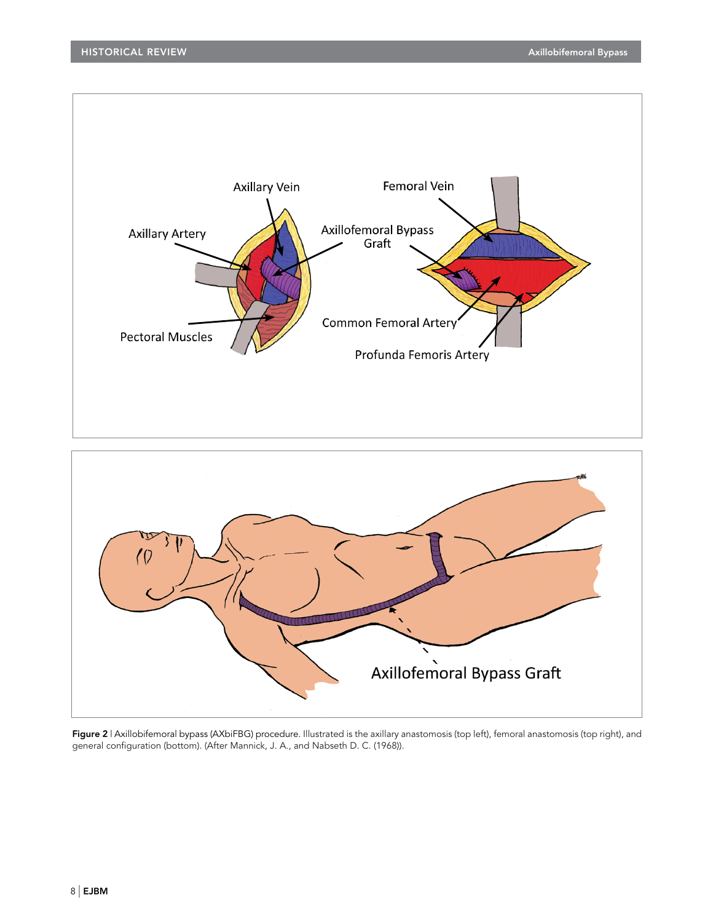



Figure 2 | Axillobifemoral bypass (AXbiFBG) procedure. Illustrated is the axillary anastomosis (top left), femoral anastomosis (top right), and general configuration (bottom). (After Mannick, J. A., and Nabseth D. C. (1968)).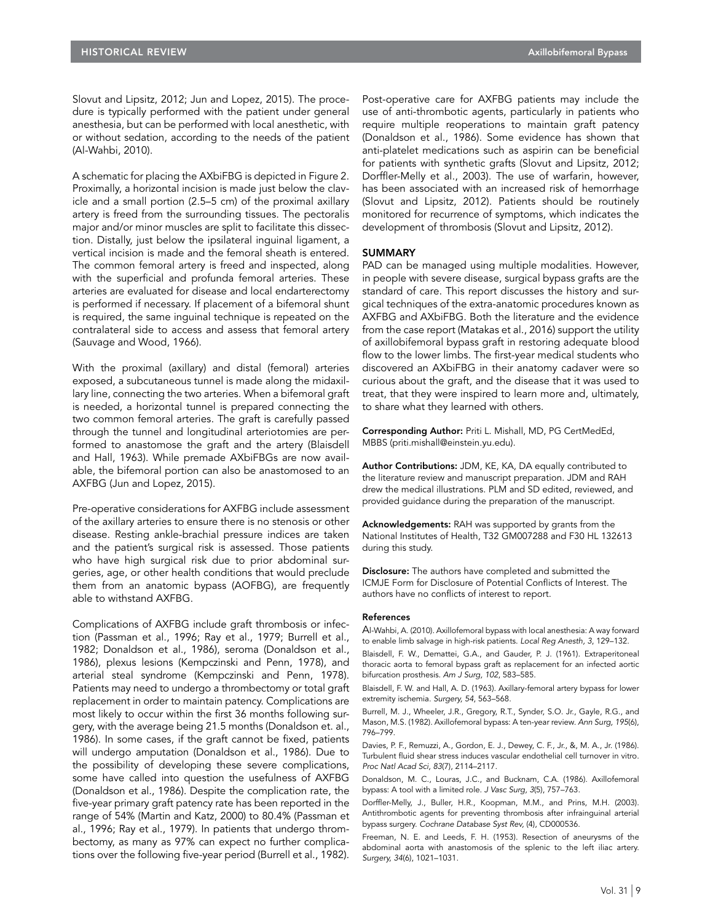Slovut and Lipsitz, 2012; Jun and Lopez, 2015). The procedure is typically performed with the patient under general anesthesia, but can be performed with local anesthetic, with or without sedation, according to the needs of the patient (Al-Wahbi, 2010).

A schematic for placing the AXbiFBG is depicted in Figure 2. Proximally, a horizontal incision is made just below the clavicle and a small portion (2.5–5 cm) of the proximal axillary artery is freed from the surrounding tissues. The pectoralis major and/or minor muscles are split to facilitate this dissection. Distally, just below the ipsilateral inguinal ligament, a vertical incision is made and the femoral sheath is entered. The common femoral artery is freed and inspected, along with the superficial and profunda femoral arteries. These arteries are evaluated for disease and local endarterectomy is performed if necessary. If placement of a bifemoral shunt is required, the same inguinal technique is repeated on the contralateral side to access and assess that femoral artery (Sauvage and Wood, 1966).

With the proximal (axillary) and distal (femoral) arteries exposed, a subcutaneous tunnel is made along the midaxillary line, connecting the two arteries. When a bifemoral graft is needed, a horizontal tunnel is prepared connecting the two common femoral arteries. The graft is carefully passed through the tunnel and longitudinal arteriotomies are performed to anastomose the graft and the artery (Blaisdell and Hall, 1963). While premade AXbiFBGs are now available, the bifemoral portion can also be anastomosed to an AXFBG (Jun and Lopez, 2015).

Pre-operative considerations for AXFBG include assessment of the axillary arteries to ensure there is no stenosis or other disease. Resting ankle-brachial pressure indices are taken and the patient's surgical risk is assessed. Those patients who have high surgical risk due to prior abdominal surgeries, age, or other health conditions that would preclude them from an anatomic bypass (AOFBG), are frequently able to withstand AXFBG.

Complications of AXFBG include graft thrombosis or infection (Passman et al., 1996; Ray et al., 1979; Burrell et al., 1982; Donaldson et al., 1986), seroma (Donaldson et al., 1986), plexus lesions (Kempczinski and Penn, 1978), and arterial steal syndrome (Kempczinski and Penn, 1978). Patients may need to undergo a thrombectomy or total graft replacement in order to maintain patency. Complications are most likely to occur within the first 36 months following surgery, with the average being 21.5 months (Donaldson et. al., 1986). In some cases, if the graft cannot be fixed, patients will undergo amputation (Donaldson et al., 1986). Due to the possibility of developing these severe complications, some have called into question the usefulness of AXFBG (Donaldson et al., 1986). Despite the complication rate, the five-year primary graft patency rate has been reported in the range of 54% (Martin and Katz, 2000) to 80.4% (Passman et al., 1996; Ray et al., 1979). In patients that undergo thrombectomy, as many as 97% can expect no further complications over the following five-year period (Burrell et al., 1982).

Post-operative care for AXFBG patients may include the use of anti-thrombotic agents, particularly in patients who require multiple reoperations to maintain graft patency (Donaldson et al., 1986). Some evidence has shown that anti-platelet medications such as aspirin can be beneficial for patients with synthetic grafts (Slovut and Lipsitz, 2012; Dorffler-Melly et al., 2003). The use of warfarin, however, has been associated with an increased risk of hemorrhage (Slovut and Lipsitz, 2012). Patients should be routinely monitored for recurrence of symptoms, which indicates the development of thrombosis (Slovut and Lipsitz, 2012).

## SUMMARY

PAD can be managed using multiple modalities. However, in people with severe disease, surgical bypass grafts are the standard of care. This report discusses the history and surgical techniques of the extra-anatomic procedures known as AXFBG and AXbiFBG. Both the literature and the evidence from the case report (Matakas et al., 2016) support the utility of axillobifemoral bypass graft in restoring adequate blood flow to the lower limbs. The first-year medical students who discovered an AXbiFBG in their anatomy cadaver were so curious about the graft, and the disease that it was used to treat, that they were inspired to learn more and, ultimately, to share what they learned with others.

Corresponding Author: Priti L. Mishall, MD, PG CertMedEd, MBBS (priti.mishall@einstein.yu.edu).

Author Contributions: JDM, KE, KA, DA equally contributed to the literature review and manuscript preparation. JDM and RAH drew the medical illustrations. PLM and SD edited, reviewed, and provided guidance during the preparation of the manuscript.

Acknowledgements: RAH was supported by grants from the National Institutes of Health, T32 GM007288 and F30 HL 132613 during this study.

Disclosure: The authors have completed and submitted the ICMJE Form for Disclosure of Potential Conflicts of Interest. The authors have no conflicts of interest to report.

#### References

Al-Wahbi, A. (2010). Axillofemoral bypass with local anesthesia: A way forward to enable limb salvage in high-risk patients. *Local Reg Anesth, 3*, 129–132.

Blaisdell, F. W., Demattei, G.A., and Gauder, P. J. (1961). Extraperitoneal thoracic aorta to femoral bypass graft as replacement for an infected aortic bifurcation prosthesis. *Am J Surg, 102*, 583–585.

Blaisdell, F. W. and Hall, A. D. (1963). Axillary-femoral artery bypass for lower extremity ischemia. *Surgery, 54*, 563–568.

Burrell, M. J., Wheeler, J.R., Gregory, R.T., Synder, S.O. Jr., Gayle, R.G., and Mason, M.S. (1982). Axillofemoral bypass: A ten-year review. *Ann Surg, 195*(6), 796–799.

Davies, P. F., Remuzzi, A., Gordon, E. J., Dewey, C. F., Jr., &, M. A., Jr. (1986). Turbulent fluid shear stress induces vascular endothelial cell turnover in vitro. *Proc Natl Acad Sci, 83*(7), 2114–2117.

Donaldson, M. C., Louras, J.C., and Bucknam, C.A. (1986). Axillofemoral bypass: A tool with a limited role. *J Vasc Surg, 3*(5), 757–763.

Dorffler-Melly, J., Buller, H.R., Koopman, M.M., and Prins, M.H. (2003). Antithrombotic agents for preventing thrombosis after infrainguinal arterial bypass surgery. *Cochrane Database Syst Rev,* (4), CD000536.

Freeman, N. E. and Leeds, F. H. (1953). Resection of aneurysms of the abdominal aorta with anastomosis of the splenic to the left iliac artery. *Surgery, 34*(6), 1021–1031.